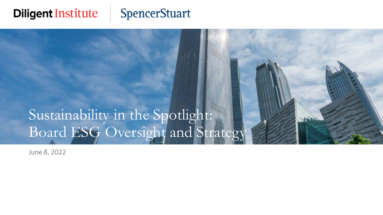### **Diligent Institute**

### **SpencerStuart**



June 8, 2022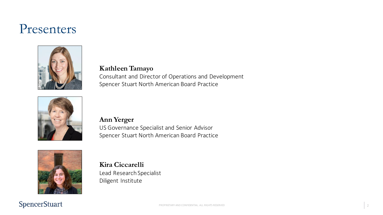### Presenters



**Kathleen Tamayo** Consultant and Director of Operations and Development Spencer Stuart North American Board Practice



#### **Ann Yerger**

US Governance Specialist and Senior Advisor Spencer Stuart North American Board Practice



**Kira Ciccarelli** Lead Research Specialist Diligent Institute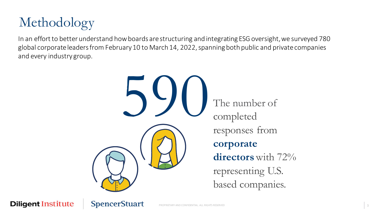

In an effort to better understand how boards are structuring and integrating ESG oversight, we surveyed 780 global corporate leaders from February 10 to March 14, 2022, spanning both public and private companies and every industry group.

> 590 The number of completed completed responses from **corporate directors** with 72% representing U.S. based companies.

**Diligent Institute** 

**SpencerStuart** 

PROPRIETARY AND CONFIDENTIAL. ALL RIGHTS RESERVED **3**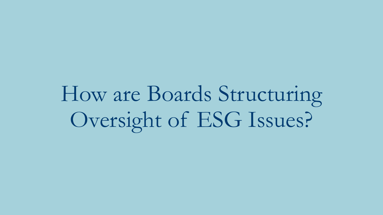How are Boards Structuring Oversight of ESG Issues?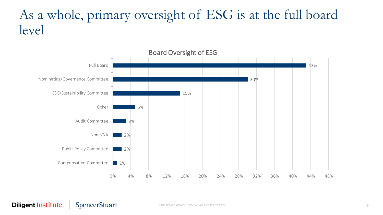### As a whole, primary oversight of ESG is at the full board level



#### **Diligent Institute SpencerStuart**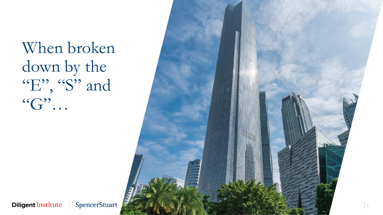When broken down by the "E", "S" and  $``G"$ …



**Diligent Institute**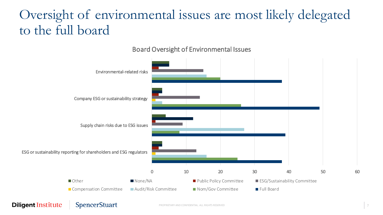## Oversight of environmental issues are most likely delegated to the full board



#### Board Oversight of Environmental Issues

#### **Diligent Institute SpencerStuart**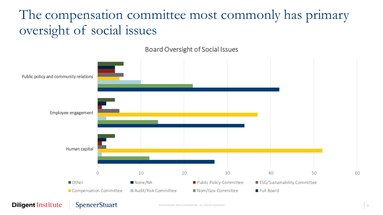## The compensation committee most commonly has primary oversight of social issues



Board Oversight of Social Issues

#### **Diligent Institute**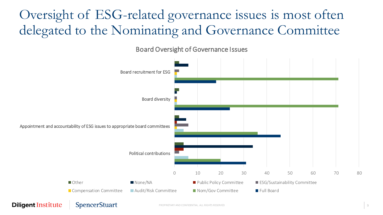### Oversight of ESG-related governance issues is most often delegated to the Nominating and Governance Committee



Board Oversight of Governance Issues

#### **Diligent Institute**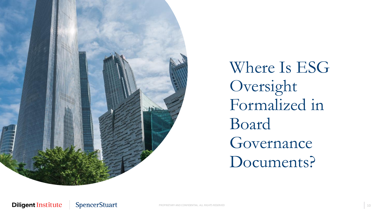

Where Is ESG Oversight Formalized in Board Governance Documents?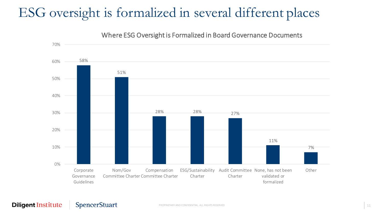### ESG oversight is formalized in several different places

Where ESG Oversight is Formalized in Board Governance Documents

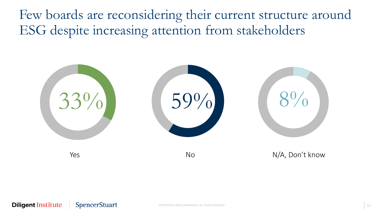Few boards are reconsidering their current structure around ESG despite increasing attention from stakeholders

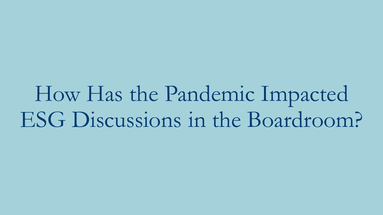How Has the Pandemic Impacted ESG Discussions in the Boardroom?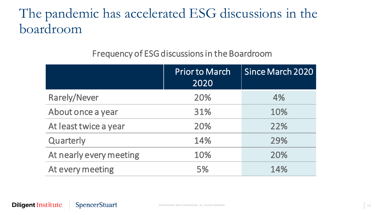### The pandemic has accelerated ESG discussions in the boardroom

#### Frequency of ESG discussions in the Boardroom

|                         | Prior to March<br>2020 | Since March 2020 |
|-------------------------|------------------------|------------------|
| <b>Rarely/Never</b>     | 20%                    | 4%               |
| About once a year       | 31%                    | 10%              |
| At least twice a year   | 20%                    | 22%              |
| Quarterly               | 14%                    | 29%              |
| At nearly every meeting | 10%                    | 20%              |
| At every meeting        | 5%                     | 14%              |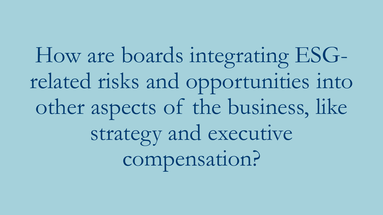How are boards integrating ESGrelated risks and opportunities into other aspects of the business, like strategy and executive compensation?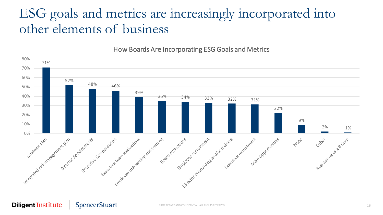### ESG goals and metrics are increasingly incorporated into other elements of business

#### How Boards Are Incorporating ESG Goals and Metrics

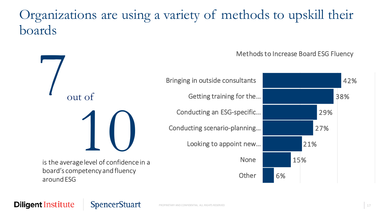### Organizations are using a variety of methods to upskill their boards



#### **Diligent Institute SpencerStuart**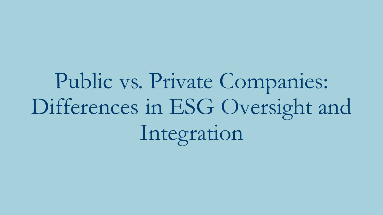Public vs. Private Companies: Differences in ESG Oversight and Integration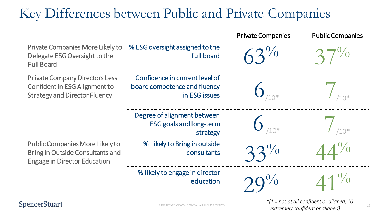### Key Differences between Public and Private Companies



#### **SpencerStuart**

PROPRIETARY AND CONFIDENTIAL. ALL RIGHTS RESERVED 19 *= extremely confident or aligned)\*(1 = not at all confident or aligned, 10*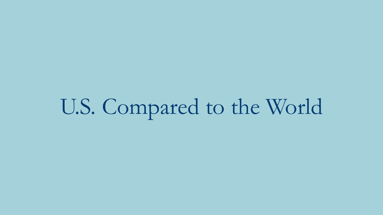# U.S. Compared to the World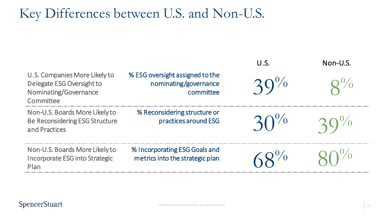### Key Differences between U.S. and Non-U.S.

|                                                                                                  |                                                                       | U.S. | Non-U.S. |
|--------------------------------------------------------------------------------------------------|-----------------------------------------------------------------------|------|----------|
| U.S. Companies More Likely to<br>Delegate ESG Oversight to<br>Nominating/Governance<br>Committee | % ESG oversight assigned to the<br>nominating/governance<br>committee |      |          |
| Non-U.S. Boards More Likely to<br><b>Be Reconsidering ESG Structure</b><br>and Practices         | % Reconsidering structure or<br>practices around ESG                  |      |          |
| Non-U.S. Boards More Likely to<br>Incorporate ESG into Strategic<br>Plan                         | % Incorporating ESG Goals and<br>metrics into the strategic plan      |      |          |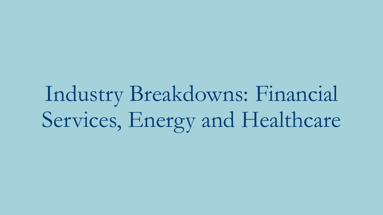# Industry Breakdowns: Financial Services, Energy and Healthcare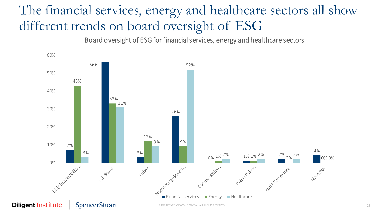## The financial services, energy and healthcare sectors all show different trends on board oversight of ESG

Board oversight of ESG for financial services, energy and healthcare sectors

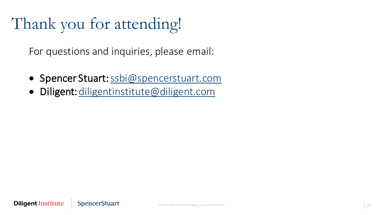# Thank you for attending!

For questions and inquiries, please email:

- Spencer Stuart: [ssbi@spencerstuart.com](mailto:ssbi@spencerstuart.com)
- Diligent: [diligentinstitute@diligent.com](mailto:diligentinstitute@diligent.com)